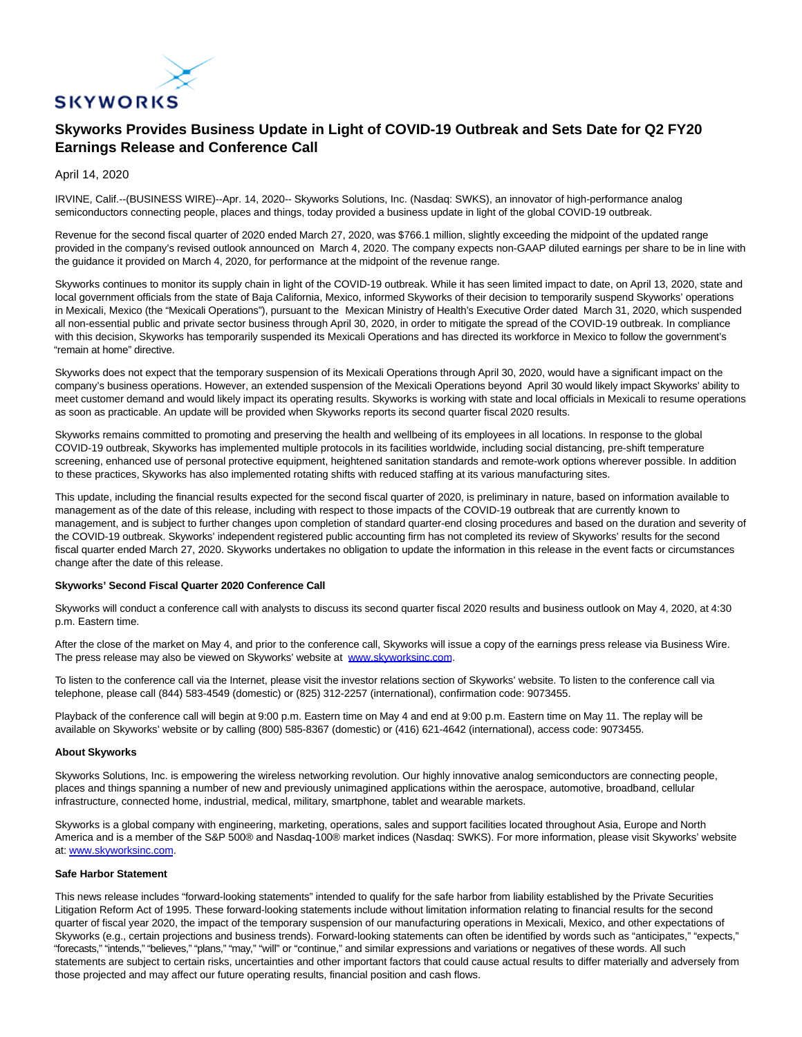

## **Skyworks Provides Business Update in Light of COVID-19 Outbreak and Sets Date for Q2 FY20 Earnings Release and Conference Call**

April 14, 2020

IRVINE, Calif.--(BUSINESS WIRE)--Apr. 14, 2020-- Skyworks Solutions, Inc. (Nasdaq: SWKS), an innovator of high-performance analog semiconductors connecting people, places and things, today provided a business update in light of the global COVID-19 outbreak.

Revenue for the second fiscal quarter of 2020 ended March 27, 2020, was \$766.1 million, slightly exceeding the midpoint of the updated range provided in the company's revised outlook announced on March 4, 2020. The company expects non-GAAP diluted earnings per share to be in line with the guidance it provided on March 4, 2020, for performance at the midpoint of the revenue range.

Skyworks continues to monitor its supply chain in light of the COVID-19 outbreak. While it has seen limited impact to date, on April 13, 2020, state and local government officials from the state of Baja California, Mexico, informed Skyworks of their decision to temporarily suspend Skyworks' operations in Mexicali, Mexico (the "Mexicali Operations"), pursuant to the Mexican Ministry of Health's Executive Order dated March 31, 2020, which suspended all non-essential public and private sector business through April 30, 2020, in order to mitigate the spread of the COVID-19 outbreak. In compliance with this decision, Skyworks has temporarily suspended its Mexicali Operations and has directed its workforce in Mexico to follow the government's "remain at home" directive.

Skyworks does not expect that the temporary suspension of its Mexicali Operations through April 30, 2020, would have a significant impact on the company's business operations. However, an extended suspension of the Mexicali Operations beyond April 30 would likely impact Skyworks' ability to meet customer demand and would likely impact its operating results. Skyworks is working with state and local officials in Mexicali to resume operations as soon as practicable. An update will be provided when Skyworks reports its second quarter fiscal 2020 results.

Skyworks remains committed to promoting and preserving the health and wellbeing of its employees in all locations. In response to the global COVID-19 outbreak, Skyworks has implemented multiple protocols in its facilities worldwide, including social distancing, pre-shift temperature screening, enhanced use of personal protective equipment, heightened sanitation standards and remote-work options wherever possible. In addition to these practices, Skyworks has also implemented rotating shifts with reduced staffing at its various manufacturing sites.

This update, including the financial results expected for the second fiscal quarter of 2020, is preliminary in nature, based on information available to management as of the date of this release, including with respect to those impacts of the COVID-19 outbreak that are currently known to management, and is subject to further changes upon completion of standard quarter-end closing procedures and based on the duration and severity of the COVID-19 outbreak. Skyworks' independent registered public accounting firm has not completed its review of Skyworks' results for the second fiscal quarter ended March 27, 2020. Skyworks undertakes no obligation to update the information in this release in the event facts or circumstances change after the date of this release.

## **Skyworks' Second Fiscal Quarter 2020 Conference Call**

Skyworks will conduct a conference call with analysts to discuss its second quarter fiscal 2020 results and business outlook on May 4, 2020, at 4:30 p.m. Eastern time.

After the close of the market on May 4, and prior to the conference call, Skyworks will issue a copy of the earnings press release via Business Wire. The press release may also be viewed on Skyworks' website at [www.skyworksinc.com.](https://cts.businesswire.com/ct/CT?id=smartlink&url=http%3A%2F%2Fwww.skyworksinc.com&esheet=52203045&newsitemid=20200414005348&lan=en-US&anchor=www.skyworksinc.com&index=1&md5=35ad047bd790a5ff3b7c88bee68785c3)

To listen to the conference call via the Internet, please visit the investor relations section of Skyworks' website. To listen to the conference call via telephone, please call (844) 583-4549 (domestic) or (825) 312-2257 (international), confirmation code: 9073455.

Playback of the conference call will begin at 9:00 p.m. Eastern time on May 4 and end at 9:00 p.m. Eastern time on May 11. The replay will be available on Skyworks' website or by calling (800) 585-8367 (domestic) or (416) 621-4642 (international), access code: 9073455.

## **About Skyworks**

Skyworks Solutions, Inc. is empowering the wireless networking revolution. Our highly innovative analog semiconductors are connecting people, places and things spanning a number of new and previously unimagined applications within the aerospace, automotive, broadband, cellular infrastructure, connected home, industrial, medical, military, smartphone, tablet and wearable markets.

Skyworks is a global company with engineering, marketing, operations, sales and support facilities located throughout Asia, Europe and North America and is a member of the S&P 500® and Nasdaq-100® market indices (Nasdaq: SWKS). For more information, please visit Skyworks' website at: [www.skyworksinc.com.](https://cts.businesswire.com/ct/CT?id=smartlink&url=http%3A%2F%2Fwww.skyworksinc.com&esheet=52203045&newsitemid=20200414005348&lan=en-US&anchor=www.skyworksinc.com&index=2&md5=ae99e560bacd06a46a35e2a5d7b01f17)

## **Safe Harbor Statement**

This news release includes "forward-looking statements" intended to qualify for the safe harbor from liability established by the Private Securities Litigation Reform Act of 1995. These forward-looking statements include without limitation information relating to financial results for the second quarter of fiscal year 2020, the impact of the temporary suspension of our manufacturing operations in Mexicali, Mexico, and other expectations of Skyworks (e.g., certain projections and business trends). Forward-looking statements can often be identified by words such as "anticipates," "expects," "forecasts," "intends," "believes," "plans," "may," "will" or "continue," and similar expressions and variations or negatives of these words. All such statements are subject to certain risks, uncertainties and other important factors that could cause actual results to differ materially and adversely from those projected and may affect our future operating results, financial position and cash flows.